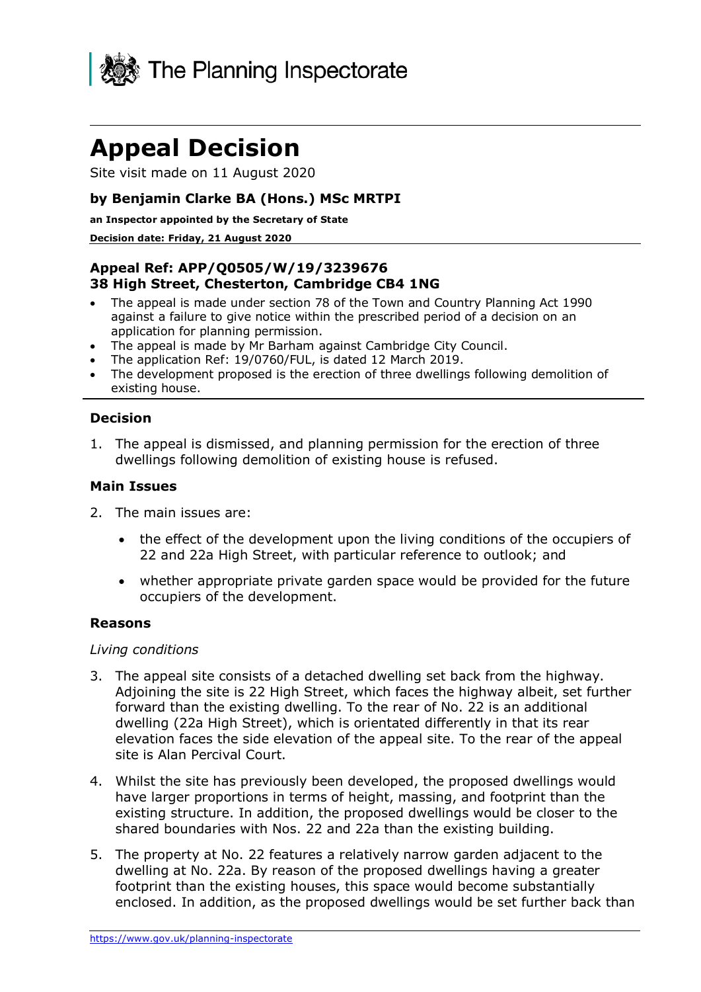

# **Appeal Decision**

Site visit made on 11 August 2020

## **by Benjamin Clarke BA (Hons.) MSc MRTPI**

**an Inspector appointed by the Secretary of State** 

#### **Decision date: Friday, 21 August 2020**

## **Appeal Ref: APP/Q0505/W/19/3239676 38 High Street, Chesterton, Cambridge CB4 1NG**

- The appeal is made under section 78 of the Town and Country Planning Act 1990 against a failure to give notice within the prescribed period of a decision on an application for planning permission.
- The appeal is made by Mr Barham against Cambridge City Council.
- The application Ref: 19/0760/FUL, is dated 12 March 2019.
- The development proposed is the erection of three dwellings following demolition of existing house.

## **Decision**

1. The appeal is dismissed, and planning permission for the erection of three dwellings following demolition of existing house is refused.

### **Main Issues**

- 2. The main issues are:
	- the effect of the development upon the living conditions of the occupiers of 22 and 22a High Street, with particular reference to outlook; and
	- whether appropriate private garden space would be provided for the future occupiers of the development.

#### **Reasons**

#### *Living conditions*

- 3. The appeal site consists of a detached dwelling set back from the highway. Adjoining the site is 22 High Street, which faces the highway albeit, set further forward than the existing dwelling. To the rear of No. 22 is an additional dwelling (22a High Street), which is orientated differently in that its rear elevation faces the side elevation of the appeal site. To the rear of the appeal site is Alan Percival Court.
- 4. Whilst the site has previously been developed, the proposed dwellings would have larger proportions in terms of height, massing, and footprint than the existing structure. In addition, the proposed dwellings would be closer to the shared boundaries with Nos. 22 and 22a than the existing building.
- 5. The property at No. 22 features a relatively narrow garden adjacent to the dwelling at No. 22a. By reason of the proposed dwellings having a greater footprint than the existing houses, this space would become substantially enclosed. In addition, as the proposed dwellings would be set further back than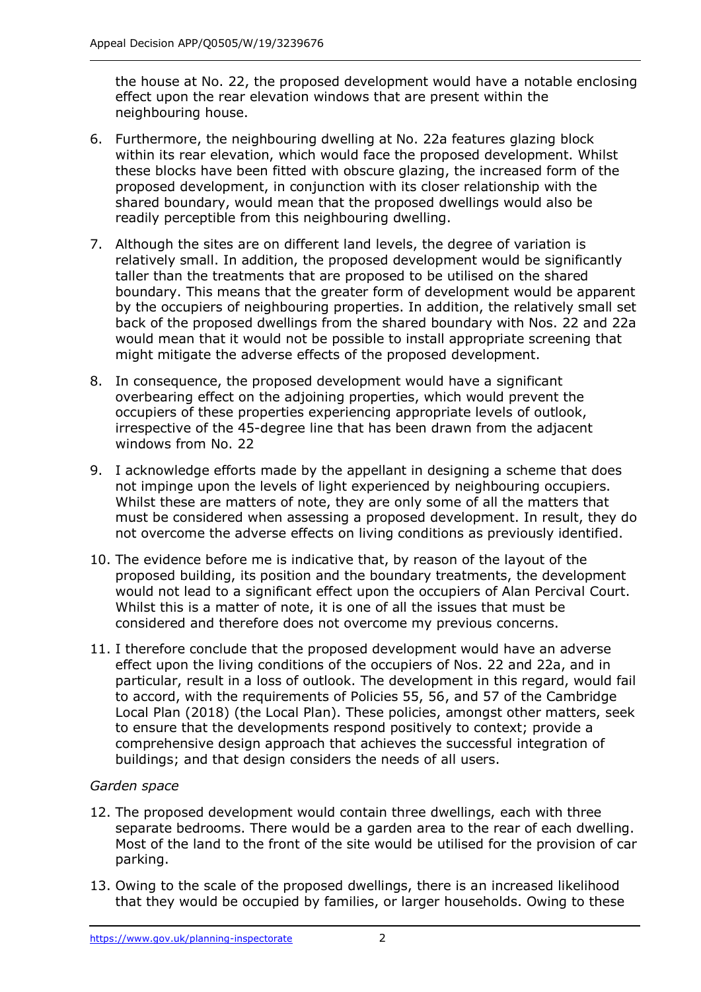the house at No. 22, the proposed development would have a notable enclosing effect upon the rear elevation windows that are present within the neighbouring house.

- 6. Furthermore, the neighbouring dwelling at No. 22a features glazing block within its rear elevation, which would face the proposed development. Whilst these blocks have been fitted with obscure glazing, the increased form of the proposed development, in conjunction with its closer relationship with the shared boundary, would mean that the proposed dwellings would also be readily perceptible from this neighbouring dwelling.
- 7. Although the sites are on different land levels, the degree of variation is relatively small. In addition, the proposed development would be significantly taller than the treatments that are proposed to be utilised on the shared boundary. This means that the greater form of development would be apparent by the occupiers of neighbouring properties. In addition, the relatively small set back of the proposed dwellings from the shared boundary with Nos. 22 and 22a would mean that it would not be possible to install appropriate screening that might mitigate the adverse effects of the proposed development.
- 8. In consequence, the proposed development would have a significant overbearing effect on the adjoining properties, which would prevent the occupiers of these properties experiencing appropriate levels of outlook, irrespective of the 45-degree line that has been drawn from the adjacent windows from No. 22
- 9. I acknowledge efforts made by the appellant in designing a scheme that does not impinge upon the levels of light experienced by neighbouring occupiers. Whilst these are matters of note, they are only some of all the matters that must be considered when assessing a proposed development. In result, they do not overcome the adverse effects on living conditions as previously identified.
- 10. The evidence before me is indicative that, by reason of the layout of the proposed building, its position and the boundary treatments, the development would not lead to a significant effect upon the occupiers of Alan Percival Court. Whilst this is a matter of note, it is one of all the issues that must be considered and therefore does not overcome my previous concerns.
- 11. I therefore conclude that the proposed development would have an adverse effect upon the living conditions of the occupiers of Nos. 22 and 22a, and in particular, result in a loss of outlook. The development in this regard, would fail to accord, with the requirements of Policies 55, 56, and 57 of the Cambridge Local Plan (2018) (the Local Plan). These policies, amongst other matters, seek to ensure that the developments respond positively to context; provide a comprehensive design approach that achieves the successful integration of buildings; and that design considers the needs of all users.

# *Garden space*

- 12. The proposed development would contain three dwellings, each with three separate bedrooms. There would be a garden area to the rear of each dwelling. Most of the land to the front of the site would be utilised for the provision of car parking.
- 13. Owing to the scale of the proposed dwellings, there is an increased likelihood that they would be occupied by families, or larger households. Owing to these